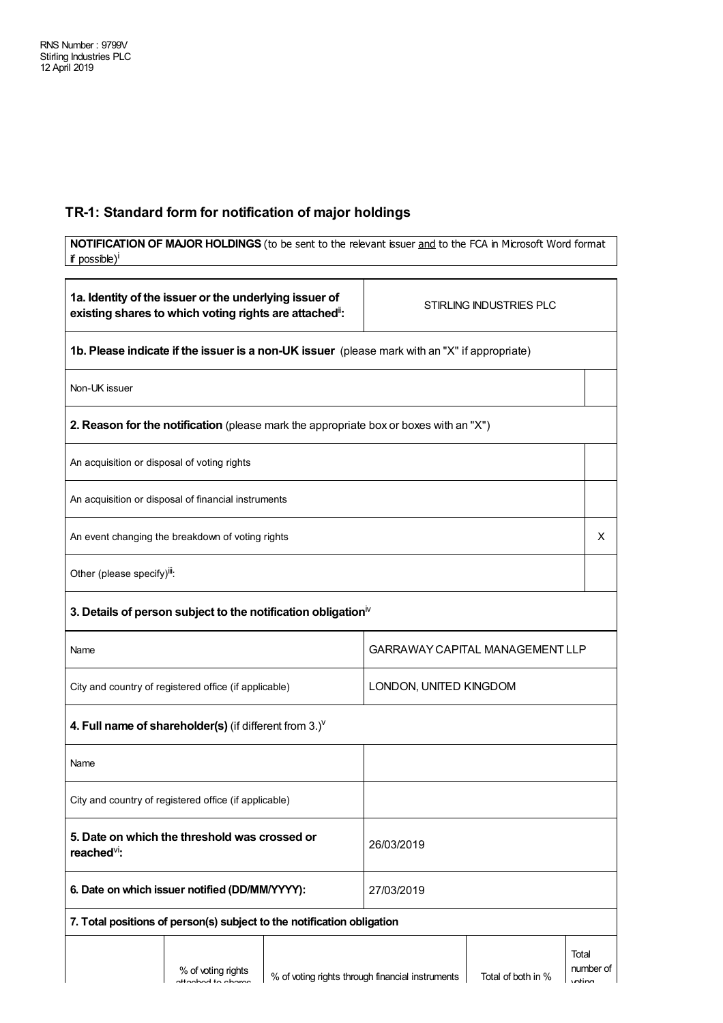## **TR-1: Standard form for notification of major holdings**

| if possible) <sup>i</sup>                             |                                                                                                                 |                        |                                                                                               | NOTIFICATION OF MAJOR HOLDINGS (to be sent to the relevant issuer and to the FCA in Microsoft Word format |                     |
|-------------------------------------------------------|-----------------------------------------------------------------------------------------------------------------|------------------------|-----------------------------------------------------------------------------------------------|-----------------------------------------------------------------------------------------------------------|---------------------|
|                                                       |                                                                                                                 |                        |                                                                                               |                                                                                                           |                     |
|                                                       | 1a. Identity of the issuer or the underlying issuer of<br>existing shares to which voting rights are attached": |                        |                                                                                               | STIRLING INDUSTRIES PLC                                                                                   |                     |
|                                                       |                                                                                                                 |                        | 1b. Please indicate if the issuer is a non-UK issuer (please mark with an "X" if appropriate) |                                                                                                           |                     |
| Non-UK issuer                                         |                                                                                                                 |                        |                                                                                               |                                                                                                           |                     |
|                                                       |                                                                                                                 |                        | 2. Reason for the notification (please mark the appropriate box or boxes with an "X")         |                                                                                                           |                     |
| An acquisition or disposal of voting rights           |                                                                                                                 |                        |                                                                                               |                                                                                                           |                     |
|                                                       | An acquisition or disposal of financial instruments                                                             |                        |                                                                                               |                                                                                                           |                     |
|                                                       | An event changing the breakdown of voting rights                                                                |                        |                                                                                               |                                                                                                           | X                   |
| Other (please specify)iii:                            |                                                                                                                 |                        |                                                                                               |                                                                                                           |                     |
|                                                       | 3. Details of person subject to the notification obligation $\mathbb N$                                         |                        |                                                                                               |                                                                                                           |                     |
| Name                                                  |                                                                                                                 |                        |                                                                                               | <b>GARRAWAY CAPITAL MANAGEMENT LLP</b>                                                                    |                     |
| City and country of registered office (if applicable) |                                                                                                                 | LONDON, UNITED KINGDOM |                                                                                               |                                                                                                           |                     |
|                                                       | 4. Full name of shareholder(s) (if different from $3.$ ) $V$                                                    |                        |                                                                                               |                                                                                                           |                     |
| Name                                                  |                                                                                                                 |                        |                                                                                               |                                                                                                           |                     |
|                                                       | City and country of registered office (if applicable)                                                           |                        |                                                                                               |                                                                                                           |                     |
| reached <sup>vi</sup> :                               | 5. Date on which the threshold was crossed or                                                                   |                        | 26/03/2019                                                                                    |                                                                                                           |                     |
|                                                       | 6. Date on which issuer notified (DD/MM/YYYY):                                                                  |                        | 27/03/2019                                                                                    |                                                                                                           |                     |
|                                                       | 7. Total positions of person(s) subject to the notification obligation                                          |                        |                                                                                               |                                                                                                           |                     |
|                                                       | % of voting rights<br>sttaalaal ta ahama                                                                        |                        | % of voting rights through financial instruments                                              | Total<br>Total of both in %                                                                               | number of<br>intian |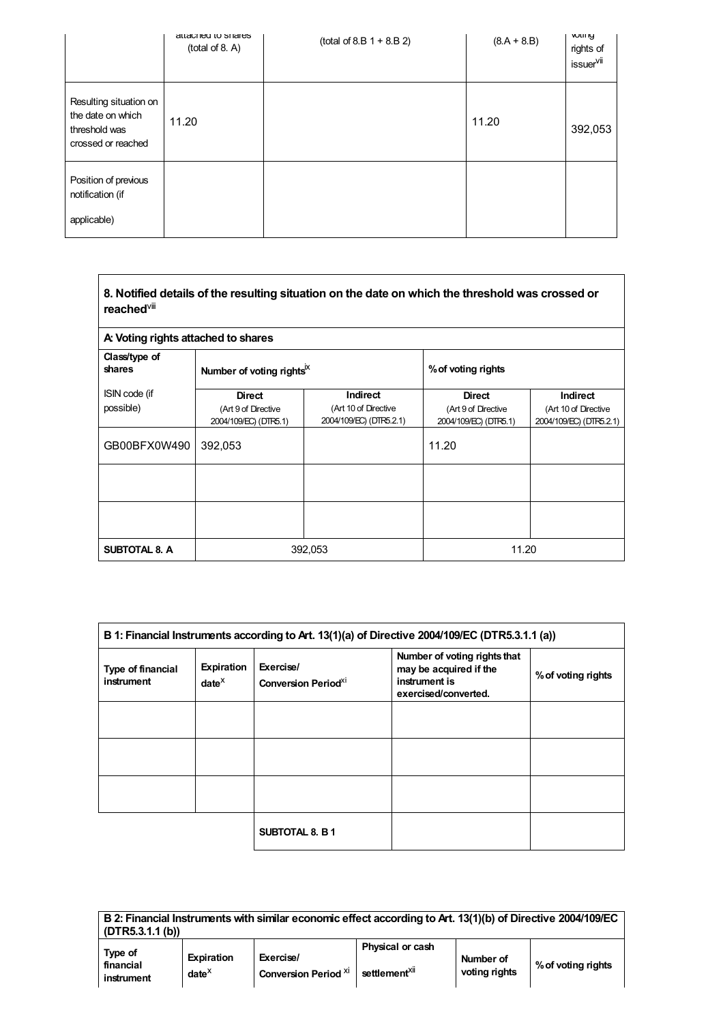|                                                                                    | attached to shares<br>(total of 8. A) | $(total of 8.B 1 + 8.B 2)$ | $(8.A + 8.B)$ | <b>VULII IY</b><br>rights of<br>issuer <sup>vii</sup> |
|------------------------------------------------------------------------------------|---------------------------------------|----------------------------|---------------|-------------------------------------------------------|
| Resulting situation on<br>the date on which<br>threshold was<br>crossed or reached | 11.20                                 |                            | 11.20         | 392,053                                               |
| Position of previous<br>notification (if<br>applicable)                            |                                       |                            |               |                                                       |

| 8. Notified details of the resulting situation on the date on which the threshold was crossed or<br>reached <sup>viii</sup> |                                                               |                                                             |                                                               |                                                             |
|-----------------------------------------------------------------------------------------------------------------------------|---------------------------------------------------------------|-------------------------------------------------------------|---------------------------------------------------------------|-------------------------------------------------------------|
| A: Voting rights attached to shares                                                                                         |                                                               |                                                             |                                                               |                                                             |
| Class/type of<br>shares                                                                                                     | Number of voting rights <sup>IX</sup>                         |                                                             | % of voting rights                                            |                                                             |
| ISIN code (if<br>possible)                                                                                                  | <b>Direct</b><br>(Art 9 of Directive<br>2004/109/EC) (DTR5.1) | Indirect<br>(Art 10 of Directive<br>2004/109/EC) (DTR5.2.1) | <b>Direct</b><br>(Art 9 of Directive<br>2004/109/EC) (DTR5.1) | Indirect<br>(Art 10 of Directive<br>2004/109/EC) (DTR5.2.1) |
| GB00BFX0W490                                                                                                                | 392,053                                                       |                                                             | 11.20                                                         |                                                             |
|                                                                                                                             |                                                               |                                                             |                                                               |                                                             |
|                                                                                                                             |                                                               |                                                             |                                                               |                                                             |
| <b>SUBTOTAL 8. A</b>                                                                                                        |                                                               | 392,053                                                     | 11.20                                                         |                                                             |

| B 1: Financial Instruments according to Art. 13(1)(a) of Directive 2004/109/EC (DTR5.3.1.1 (a)) |                        |                                                     |                                                                                                 |                    |  |
|-------------------------------------------------------------------------------------------------|------------------------|-----------------------------------------------------|-------------------------------------------------------------------------------------------------|--------------------|--|
| Type of financial<br>instrument                                                                 | Expiration<br>$date^X$ | Exercise/<br><b>Conversion Period</b> <sup>XI</sup> | Number of voting rights that<br>may be acquired if the<br>instrument is<br>exercised/converted. | % of voting rights |  |
|                                                                                                 |                        |                                                     |                                                                                                 |                    |  |
|                                                                                                 |                        |                                                     |                                                                                                 |                    |  |
|                                                                                                 |                        |                                                     |                                                                                                 |                    |  |
|                                                                                                 |                        | <b>SUBTOTAL 8. B 1</b>                              |                                                                                                 |                    |  |

L.

| (DTR5.3.1.1(b))                    |                                    | B 2: Financial Instruments with similar economic effect according to Art. 13(1)(b) of Directive 2004/109/EC |                                               |                            |                    |
|------------------------------------|------------------------------------|-------------------------------------------------------------------------------------------------------------|-----------------------------------------------|----------------------------|--------------------|
| Type of<br>financial<br>instrument | <b>Expiration</b><br>$date^{\chi}$ | Exercise/<br><b>Conversion Period Xi</b>                                                                    | Physical or cash<br>settlement <sup>XII</sup> | Number of<br>voting rights | % of voting rights |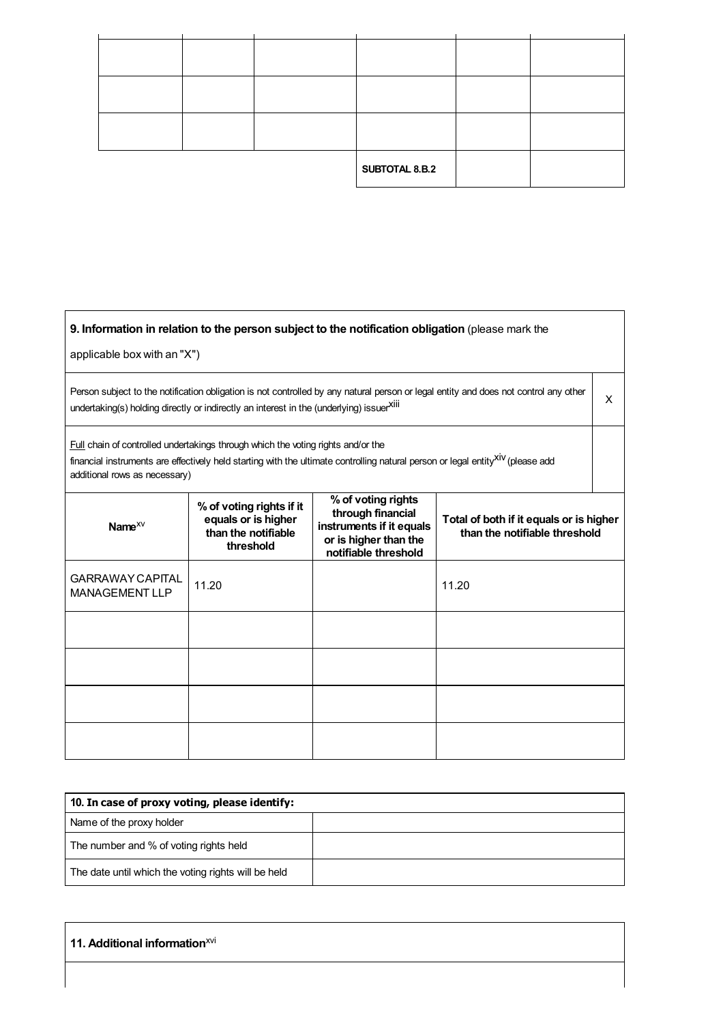|  | SUBTOTAL 8.B.2 |  |
|--|----------------|--|

## **9. Information in relation to the person subject to the notification obligation** (please mark the

applicable box with an "X")

Person subject to the notification obligation is not controlled by any natural person or legal entity and does not control any other reison subject to the notification obligation is not controlled by any natural person or legal entity and does not control any other  $X$ <br>undertaking(s) holding directly or indirectly an interest in the (underlying) issuer<sup></sup>

Full chain of controlled undertakings through which the voting rights and/or the

financial instruments are effectively held starting with the ultimate controlling natural person or legal entity<sup>xiv</sup> (please add additional rows as necessary)

| Name $^{XV}$                                     | % of voting rights if it<br>equals or is higher<br>than the notifiable<br>threshold | % of voting rights<br>through financial<br>instruments if it equals<br>or is higher than the<br>notifiable threshold | Total of both if it equals or is higher<br>than the notifiable threshold |
|--------------------------------------------------|-------------------------------------------------------------------------------------|----------------------------------------------------------------------------------------------------------------------|--------------------------------------------------------------------------|
| <b>GARRAWAY CAPITAL</b><br><b>MANAGEMENT LLP</b> | 11.20                                                                               |                                                                                                                      | 11.20                                                                    |
|                                                  |                                                                                     |                                                                                                                      |                                                                          |
|                                                  |                                                                                     |                                                                                                                      |                                                                          |
|                                                  |                                                                                     |                                                                                                                      |                                                                          |
|                                                  |                                                                                     |                                                                                                                      |                                                                          |

| 10. In case of proxy voting, please identify:       |  |
|-----------------------------------------------------|--|
| Name of the proxy holder                            |  |
| The number and % of voting rights held              |  |
| The date until which the voting rights will be held |  |

## **11. Additional information** xvi